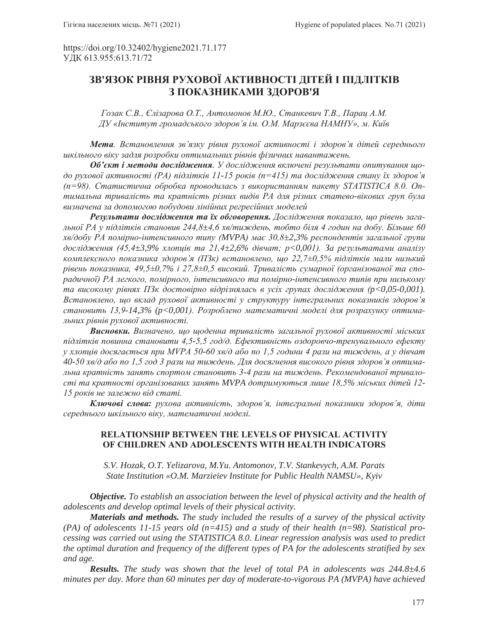https://doi.org/10.32402/hygiene2021.71.177 УДК 613.955:613.71/72

# ЗВ'ЯЗОК РІВНЯ РУХОВОЇ АКТИВНОСТІ ДІТЕЙ І ПІДЛІТКІВ З ПОКАЗНИКАМИ ЗДОРОВ'Я

Гозак С.В., Єлізарова О.Т., Антомонов М.Ю., Станкевич Т.В., Парац А.М. *Ⱦɍ©ȱɧɫɬɢɬɭɬɝɪɨɦɚɞɫɶɤɨɝɨɡɞɨɪɨɜ¶ɹɿɦɈɆɆɚɪɡɽɽɜɚɇȺɆɇɍ»ɦɄɢʀɜ*

**Мета**. Встановлення зв'язку рівня рухової активності і здоров'я дітей середнього икільного віку задля розробки оптимальних рівнів фізичних навантажень.

**Об'єкт і методи дослідження.** У дослідження включені результати опитування щодо рухової активності (PA) підлітків 11-15 років (n=415) та дослідження стану їх здоров'я  $(n=98)$ . Статистична обробка проводилась з використанням пакету STATISTICA 8.0. Оптимальна тривалість та кратність різних видів РА для різних статево-вікових груп була визначена за допомогою побудови лінійних регресійних моделей

Результати дослідження та їх обговорення. Дослідження показало, що рівень зага*льної РА у підлітків становив 244,8±4,6 хв/тиждень, тобто біля 4 годин на добу. Більше 60*  $x$ в/добу PA помірно-інтенсивного типу (MVPA) має 30,8±2,3% респондентів загальної групи  $\partial$ ослідження (45,4±3,9% хлопців та 21,4±2,6% дівчат; p<0,001). За результатами аналізу комплексного показника здоров'я (ПЗк) встановлено, що 22,7±0,5% підлітків мали низький рівень показника, 49,5±0,7% і 27,8±0,5 високий. Тривалість сумарної (організованої та спо $paduuhoi)$  *PA легкого, помірного, інтенсивного та помірно-інтенсивного типів при низькому* та високому рівнях ПЗк достовірно відрізнялась в усіх групах дослідження (р<0,05-0,001). Встановлено, що вклад рухової активності у структуру інтегральних показників здоров'я *становить 13,9-14,3% (p<0,001). Розроблено математичні моделі для розрахунку оптима*льних рівнів рухової активності.

**Висновки.** Визначено, що щоденна тривалість загальної рухової активності міських підлітків повинна становити 4,5-5,5 год/д. Ефективність оздоровчо-тренувального ефекту  $y$  *x*<sub>nonuis</sub> досягається при МУРА 50-60 хв/д або по 1,5 години 4 рази на тиждень, а у дівчат 40-50 хв/д або по 1,5 год 3 рази на тиждень. Для досягнення високого рівня здоров'я оптимальна кратність занять спортом становить 3-4 рази на тиждень. Рекомендованої тривалості та кратності організованих занять MVPA дотримуються лише 18,5% міських дітей 12-*<i>l*5 років не залежно від статі.

**Ключові слова:** рухова активність, здоров'я, інтегральні показники здоров'я, діти середнього шкільного віку, математичні моделі.

## **RELATIONSHIP BETWEEN THE LEVELS OF PHYSICAL ACTIVITY OF CHILDREN AND ADOLESCENTS WITH HEALTH INDICATORS**

*S.V. Hozak, O.T. Yelizarova, M.Yu. Antomonov, T.V. Stankevych, A.M. Parats State Institution «O.M. Marzieiev Institute for Public Health NAMSU», Kyiv*

*Objective. To establish an association between the level of physical activity and the health of adolescents and develop optimal levels of their physical activity.* 

*Materials and methods. The study included the results of a survey of the physical activity (PA) of adolescents 11-15 years old (n=415) and a study of their health (n=98). Statistical processing was carried out using the STATISTICA 8.0. Linear regression analysis was used to predict the optimal duration and frequency of the different types of PA for the adolescents stratified by sex and age.* 

*Results. The study was shown that the level of total PA in adolescents was 244.8±4.6 minutes per day. More than 60 minutes per day of moderate-to-vigorous PA (MVPA) have achieved*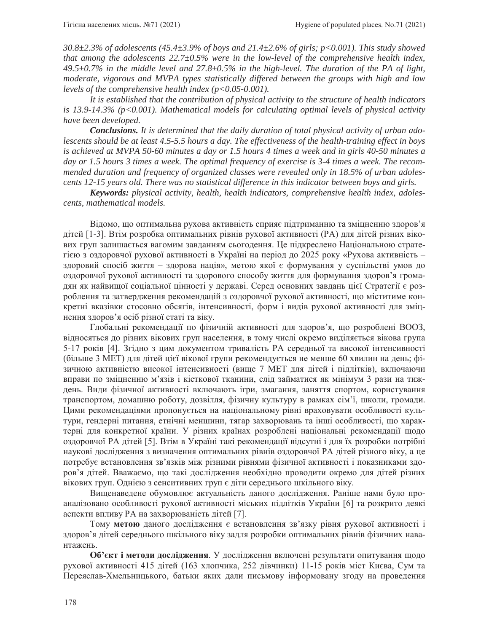*30.8±2.3% of adolescents (45.4±3.9% of boys and 21.4±2.6% of girls; p<0.001). This study showed that among the adolescents 22.7±0.5% were in the low-level of the comprehensive health index, 49.5±0.7% in the middle level and 27.8±0.5% in the high-level. The duration of the PA of light, moderate, vigorous and MVPA types statistically differed between the groups with high and low levels of the comprehensive health index (p<0.05-0.001).* 

*It is established that the contribution of physical activity to the structure of health indicators is 13.9-14.3% (p<0.001). Mathematical models for calculating optimal levels of physical activity have been developed.* 

*Conclusions. It is determined that the daily duration of total physical activity of urban adolescents should be at least 4.5-5.5 hours a day. The effectiveness of the health-training effect in boys is achieved at MVPA 50-60 minutes a day or 1.5 hours 4 times a week and in girls 40-50 minutes a day or 1.5 hours 3 times a week. The optimal frequency of exercise is 3-4 times a week. The recommended duration and frequency of organized classes were revealed only in 18.5% of urban adolescents 12-15 years old. There was no statistical difference in this indicator between boys and girls.* 

*Keywords: physical activity, health, health indicators, comprehensive health index, adolescents, mathematical models.*

Відомо, що оптимальна рухова активність сприяє підтриманню та зміцненню здоров'я дітей [1-3]. Втім розробка оптимальних рівнів рухової активності (РА) для дітей різних вікових груп залишається вагомим завданням сьогодення. Це підкреслено Національною стратегією з оздоровчої рухової активності в Україні на період до 2025 року «Рухова активність – здоровий спосіб життя – здорова нація», метою якої є формування у суспільстві умов до оздоровчої рухової активності та здорового способу життя для формування здоров'я громадян як найвищої соціальної цінності у державі. Серед основних завдань цієї Стратегії є розроблення та затвердження рекомендацій з оздоровчої рухової активності, що міститиме конкретні вказівки стосовно обсягів, інтенсивності, форм і видів рухової активності для зміцнення здоров'я осіб різної статі та віку.

Глобальні рекомендації по фізичній активності для здоров'я, що розроблені ВООЗ, відносяться до різних вікових груп населення, в тому числі окремо виділяється вікова група 5-17 років [4]. Згідно з цим документом тривалість РА середньої та високої інтенсивності (більше 3 МЕТ) для дітей цієї вікової групи рекомендується не менше 60 хвилин на день; фізичною активністю високої інтенсивності (вище 7 МЕТ для дітей і підлітків), включаючи вправи по зміцненню м'язів і кісткової тканини, слід займатися як мінімум 3 рази на тиждень. Види фізичної активності включають ігри, змагання, заняття спортом, користування транспортом, домашню роботу, дозвілля, фізичну культуру в рамках сім'ї, школи, громади. Цими рекомендаціями пропонується на національному рівні враховувати особливості культури, гендерні питання, етнічні меншини, тягар захворювань та інші особливості, що характерні для конкретної країни. У різних країнах розроблені національні рекомендації щодо оздоровчої РА дітей [5]. Втім в Україні такі рекомендації відсутні і для їх розробки потрібні наукові дослідження з визначення оптимальних рівнів оздоровчої РА дітей різного віку, а це потребує встановлення зв'язків між різними рівнями фізичної активності і показниками здоров'я дітей. Вважаємо, що такі дослідження необхідно проводити окремо для дітей різних вікових груп. Однією з сенситивних груп є діти середнього шкільного віку.

Вищенаведене обумовлює актуальність даного дослідження. Раніше нами було проаналізовано особливості рухової активності міських підлітків України [6] та розкрито деякі аспекти впливу РА на захворюваність дітей [7].

Тому метою даного дослідження є встановлення зв'язку рівня рухової активності і здоров'я дітей середнього шкільного віку задля розробки оптимальних рівнів фізичних навантажень.

**Об'єкт і методи дослідження** У дослідження включені результати опитування щодо рухової активності 415 дітей (163 хлопчика, 252 дівчинки) 11-15 років міст Києва, Сум та Переяслав-Хмельницького, батьки яких дали письмову інформовану згоду на проведення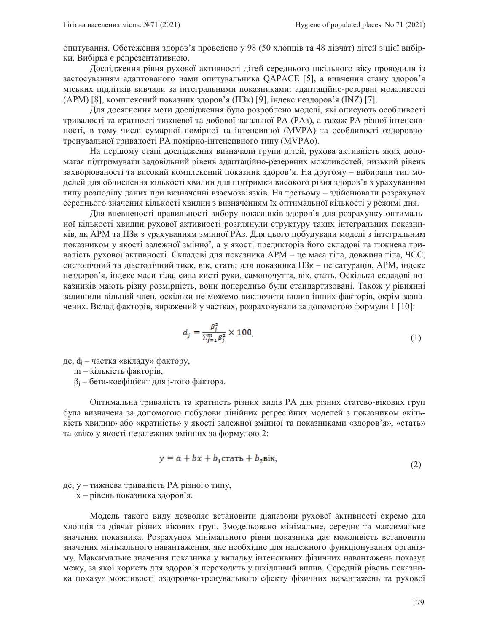опитування. Обстеження здоров'я проведено у 98 (50 хлопців та 48 дівчат) дітей з цієї вибірки. Вибірка є репрезентативною.

Дослідження рівня рухової активності дітей середнього шкільного віку проводили із застосуванням адаптованого нами опитувальника QAPACE [5], а вивчення стану здоров'я міських підлітків вивчали за інтегральними показниками: адаптаційно-резервні можливості  $(APM)$  [8], комплексний показник здоров'я (ПЗк) [9], індекс нездоров'я (INZ) [7].

Для досягнення мети дослідження було розроблено моделі, які описують особливості тривалості та кратності тижневої та добової загальної РА (РАз), а також РА різної інтенсивності, в тому числі сумарної помірної та інтенсивної (МVPA) та особливості оздоровчотренувальної тривалості РА помірно-інтенсивного типу (МVРАо).

На першому етапі дослідження визначали групи дітей, рухова активність яких допомагає підтримувати задовільний рівень адаптаційно-резервних можливостей, низький рівень захворюваності та високий комплексний показник здоров'я. На другому – вибирали тип моделей для обчислення кількості хвилин для підтримки високого рівня здоров'я з урахуванням типу розподілу даних при визначенні взаємозв'язків. На третьому – здійснювали розрахунок середнього значення кількості хвилин з визначенням їх оптимальної кількості у режимі дня.

Для впевненості правильності вибору показників здоров'я для розрахунку оптимальної кількості хвилин рухової активності розглянули структуру таких інтегральних показників, як АРМ та ПЗк з урахуванням змінної РАз. Для цього побудували моделі з інтегральним показником у якості залежної змінної, а у якості предикторів його складові та тижнева тривалість рухової активності. Складові для показника АРМ – це маса тіла, довжина тіла, ЧСС, систолічний та діастолічний тиск, вік, стать; для показника ПЗк – це сатурація, АРМ, індекс нездоров'я, індекс маси тіла, сила кисті руки, самопочуття, вік, стать. Оскільки складові показників мають різну розмірність, вони попередньо були стандартизовані. Також у рівнянні залишили вільний член, оскільки не можемо виключити вплив інших факторів, окрім зазначених. Вклад факторів, виражений у частках, розраховували за допомогою формули 1 [10]:

$$
d_j = \frac{\beta_j^2}{\sum_{j=1}^m \beta_j^2} \times 100,
$$
\n(1)

де,  $d_i$  – частка «вкладу» фактору,

 $m -$ кількість факторів,

 $\beta_j$  – бета-коефіцієнт для j-того фактора.

Оптимальна тривалість та кратність різних видів РА для різних статево-вікових груп була визначена за допомогою побудови лінійних регресійних моделей з показником «кількість хвилин» або «кратність» у якості залежної змінної та показниками «здоров'я», «стать» та «вік» у якості незалежних змінних за формулою 2:

$$
y = a + bx + b_1 \text{crarb} + b_2 \text{Bik},\tag{2}
$$

де, у – тижнева тривалість РА різного типу,

x – рівень показника здоров'я.

Модель такого виду дозволяє встановити діапазони рухової активності окремо для хлопців та дівчат різних вікових груп. Змодельовано мінімальне, середнє та максимальне значення показника. Розрахунок мінімального рівня показника дає можливість встановити значення мінімального навантаження, яке необхідне для належного функціонування організму. Максимальне значення показника у випадку інтенсивних фізичних навантажень показує межу, за якої користь для здоров'я переходить у шкідливий вплив. Середній рівень показника показує можливості оздоровчо-тренувального ефекту фізичних навантажень та рухової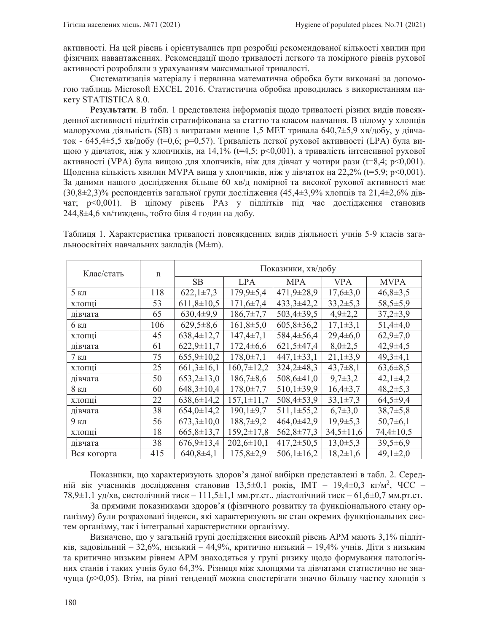активності. На цей рівень і орієнтувались при розробці рекомендованої кількості хвилин при фізичних навантаженнях. Рекомендації щодо тривалості легкого та помірного рівнів рухової активності розробляли з урахуванням максимальної тривалості.

Систематизація матеріалу і первинна математична обробка були виконані за допомогою таблиць Microsoft EXCEL 2016. Статистична обробка проводилась з використанням па-Kety STATISTICA 8.0.

Результати. В табл. 1 представлена інформація щодо тривалості різних видів повсякденної активності підлітків стратифікована за статтю та класом навчання. В цілому у хлопців малорухома діяльність (SB) з витратами менше 1,5 МЕТ тривала 640,7±5,9 хв/добу, у дівчаток - 645,4 $\pm$ 5,5 хв/добу (t=0,6; р=0,57). Тривалість легкої рухової активності (LPA) була вищою у дівчаток, ніж у хлопчиків, на 14,1% (t=4,5; p<0,001), а тривалість інтенсивної рухової активності (VPA) була вищою для хлопчиків, ніж для дівчат у чотири рази ( $t=8,4$ ; p<0,001). Шоденна кількість хвилин МVPA вища у хлопчиків, ніж у дівчаток на 22,2% (t=5,9; p<0,001). За даними нашого дослідження більше 60 хв/д помірної та високої рухової активності має (30,8 $\pm$ 2,3)% респондентів загальної групи дослідження (45,4 $\pm$ 3,9% хлопців та 21,4 $\pm$ 2,6% дівчат; p<0,001). В цілому рівень РАз у підлітків під час дослідження становив 244,8±4,6 хв/тиждень, тобто біля 4 годин на добу.

Таблиця 1. Характеристика тривалості повсякденних видів діяльності учнів 5-9 класів загальноосвітніх навчальних закладів (M±m).

| Клас/стать     | $\mathbf n$ | Показники, хв/добу |                  |                  |                 |                 |  |
|----------------|-------------|--------------------|------------------|------------------|-----------------|-----------------|--|
|                |             | <b>SB</b>          | <b>LPA</b>       | <b>MPA</b>       | <b>VPA</b>      | <b>MVPA</b>     |  |
| $5K\pi$        | 118         | $622,1\pm7,3$      | $179,9 \pm 5,4$  | 471,9±28,9       | $17,6 \pm 3,0$  | $46,8 \pm 3,5$  |  |
| хлопці         | 53          | $611,8 \pm 10,5$   | $171,6 \pm 7,4$  | $433,3 \pm 42,2$ | $33,2 \pm 5,3$  | $58,5 \pm 5,9$  |  |
| дівчата        | 65          | $630,4+9,9$        | $186,7{\pm}7,7$  | $503,4 \pm 39,5$ | $4,9\pm2,2$     | $37,2 \pm 3,9$  |  |
| 6 кл           | 106         | $629,5+8,6$        | $161,8 \pm 5,0$  | $605,8 \pm 36,2$ | $17,1\pm3,1$    | $51,4\pm4,0$    |  |
| хлопці         | 45          | $638,4 \pm 12,7$   | $147,4\pm7,1$    | 584,4±56,4       | $29,4\pm 6,0$   | $62,9 \pm 7,0$  |  |
| дівчата        | 61          | $622,9 \pm 11,7$   | $172,4\pm 6,6$   | $621,5 \pm 47,4$ | $8,0\pm2,5$     | $42,9 \pm 4,5$  |  |
| $7 \text{ KJ}$ | 75          | $655,9 \pm 10,2$   | $178,0 \pm 7,1$  | $447,1 \pm 33,1$ | $21,1\pm3,9$    | $49,3 \pm 4,1$  |  |
| хлопці         | 25          | $661,3\pm 16,1$    | $160,7 \pm 12,2$ | $324,2 \pm 48,3$ | $43,7\pm8,1$    | $63,6 \pm 8,5$  |  |
| дівчата        | 50          | $653,2\pm 13,0$    | $186,7\pm8,6$    | $508,6 \pm 41,0$ | $9,7\pm3,2$     | $42,1\pm4,2$    |  |
| 8 кл           | 60          | $648,3 \pm 10,4$   | $178,0\pm7,7$    | $510,1\pm39,9$   | $16,4\pm3,7$    | $48,2{\pm}5,3$  |  |
| хлопці         | 22          | $638,6 \pm 14,2$   | $157,1 \pm 11,7$ | 508,4±53,9       | $33,1\pm7,3$    | $64,5+9,4$      |  |
| дівчата        | 38          | $654,0 \pm 14,2$   | $190,1\pm9,7$    | $511,1 \pm 55,2$ | $6,7{\pm}3,0$   | $38,7{\pm}5,8$  |  |
| 9KJ            | 56          | $673,3 \pm 10,0$   | $188,7+9,2$      | 464,0±42,9       | $19,9{\pm}5,3$  | $50,7\pm 6,1$   |  |
| <b>ХЛОПЦ1</b>  | 18          | $665,8 \pm 13,7$   | $159,2 \pm 17,8$ | 562,8±77,3       | $34,5 \pm 11,6$ | $74,4 \pm 10,5$ |  |
| дівчата        | 38          | $676,9 \pm 13,4$   | $202,6 \pm 10,1$ | $417,2 \pm 50,5$ | $13,0 \pm 5,3$  | $39,5 \pm 6,9$  |  |
| Вся когорта    | 415         | $640,8+4,1$        | $175,8 \pm 2,9$  | $506,1 \pm 16,2$ | $18,2{\pm}1,6$  | $49,1 \pm 2,0$  |  |

Показники, що характеризують здоров'я даної вибірки представлені в табл. 2. Середній вік учасників дослідження становив 13,5±0,1 років, ІМТ - 19,4±0,3 кг/м<sup>2</sup>, ЧСС -78,9 $\pm$ 1,1 уд/хв, систолічний тиск – 111,5 $\pm$ 1,1 мм.рт.ст., діастолічний тиск – 61,6 $\pm$ 0,7 мм.рт.ст.

За прямими показниками здоров'я (фізичного розвитку та функціонального стану організму) були розраховані індекси, які характеризують як стан окремих функціональних систем організму, так і інтегральні характеристики організму.

Визначено, що у загальній групі дослідження високий рівень АРМ мають 3,1% підлітків, задовільний – 32,6%, низький – 44,9%, критично низький – 19,4% учнів. Діти з низьким та критично низьким рівнем АРМ знаходяться у групі ризику щодо формування патологічних станів і таких учнів було 64,3%. Різниця між хлопцями та дівчатами статистично не значуща (p>0,05). Втім, на рівні тенденції можна спостерігати значно більшу частку хлопців з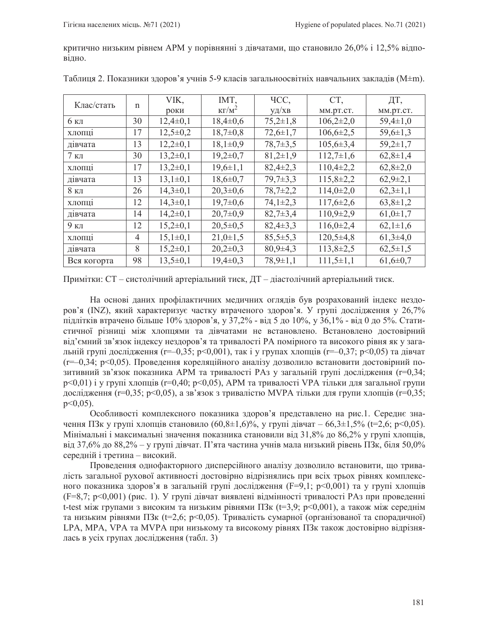критично низьким рівнем АРМ у порівнянні з дівчатами, що становило 26,0% і 12,5% відповідно.

| Клас/стать     |    | VIK,           | IMT,           | ЧCС,           | CT,             | ДT,            |
|----------------|----|----------------|----------------|----------------|-----------------|----------------|
|                | n  | роки           | $K\Gamma/M^2$  | $y\pi$ /хв     | мм.рт.ст.       | мм.рт.ст.      |
| $6 \text{ кл}$ | 30 | $12,4\pm0,1$   | $18,4 \pm 0,6$ | $75,2 \pm 1,8$ | $106,2{\pm}2,0$ | $59,4 \pm 1,0$ |
| ХЛОПЦ1         | 17 | $12,5 \pm 0.2$ | $18,7 \pm 0.8$ | $72,6 \pm 1,7$ | $106,6{\pm}2,5$ | $59,6 \pm 1,3$ |
| дівчата        | 13 | $12,2\pm0,1$   | $18,1\pm0.9$   | $78,7 \pm 3,5$ | $105,6 \pm 3,4$ | $59,2 \pm 1,7$ |
| $7 \text{ кл}$ | 30 | $13,2\pm0,1$   | $19,2 \pm 0.7$ | $81,2\pm1,9$   | $112,7\pm1,6$   | $62,8 \pm 1,4$ |
| <b>ХЛОПЦ1</b>  | 17 | $13,2\pm0,1$   | $19,6 \pm 1,1$ | $82,4\pm2,3$   | $110,4\pm2,2$   | $62,8 \pm 2,0$ |
| дівчата        | 13 | $13,1\pm0,1$   | $18,6 \pm 0.7$ | $79,7 \pm 3,3$ | $115,8 \pm 2,2$ | $62,9\pm2,1$   |
| 8 кл           | 26 | $14,3\pm0,1$   | $20,3 \pm 0.6$ | $78,7{\pm}2,2$ | $114,0{\pm}2,0$ | $62,3\pm1,1$   |
| ХЛОПЦ1         | 12 | $14,3\pm0,1$   | $19,7 \pm 0.6$ | $74,1\pm2,3$   | $117,6 \pm 2,6$ | $63,8\pm1,2$   |
| дівчата        | 14 | $14,2\pm0,1$   | $20,7 \pm 0.9$ | $82,7 \pm 3,4$ | $110,9{\pm}2,9$ | $61,0\pm1,7$   |
| 9 кл           | 12 | $15,2{\pm}0,1$ | $20,5 \pm 0.5$ | $82,4 \pm 3,3$ | $116,0\pm2,4$   | $62,1 \pm 1,6$ |
| <b>ХЛОПЦ1</b>  | 4  | $15,1\pm0,1$   | $21,0 \pm 1,5$ | $85,5 \pm 5,3$ | $120,5\pm4,8$   | $61,3\pm4,0$   |
| дівчата        | 8  | $15,2{\pm}0,1$ | $20,2\pm0,3$   | $80,9{\pm}4,3$ | $113,8 \pm 2,5$ | $62,5 \pm 1,5$ |
| Вся когорта    | 98 | $13,5 \pm 0,1$ | $19,4\pm0.3$   | $78,9 \pm 1,1$ | $111,5\pm1,1$   | $61,6 \pm 0.7$ |

Таблиця 2. Показники здоров'я учнів 5-9 класів загальноосвітніх навчальних закладів (М $\pm$ m).

Примітки: СТ – систолічний артеріальний тиск, ДТ – діастолічний артеріальний тиск.

На основі даних профілактичних медичних оглядів був розрахований індекс нездоров'я (INZ), який характеризує частку втраченого здоров'я. У групі дослідження у 26,7% підлітків втрачено більше 10% здоров'я, у 37,2% - від 5 до 10%, у 36,1% - від 0 до 5%. Статистичної різниці між хлопцями та дівчатами не встановлено. Встановлено достовірний від'ємний зв'язок індексу нездоров'я та тривалості РА помірного та високого рівня як у загальній групі дослідження (r=-0,35; p<0,001), так і у групах хлопців (r=-0,37; p<0,05) та дівчат (r=–0,34; p<0,05). Проведення кореляційного аналізу дозволило встановити достовірний позитивний зв'язок показника APM та тривалості PAз у загальній групі дослідження (r=0,34;  $p\leq 0.01$ ) і у групі хлопців (r=0,40; p $\leq 0.05$ ), APM та тривалості VPA тільки для загальної групи дослідження (r=0,35; p<0,05), а зв'язок з тривалістю MVPA тільки для групи хлопців (r=0,35; p<0,05).

Особливості комплексного показника здоров'я представлено на рис.1. Середнє значення ПЗк у групі хлопців становило  $(60,8\pm1,6)\%$ , у групі дівчат  $-66,3\pm1,5\%$  (t=2,6; p<0,05). Мінімальні і максимальні значення показника становили від 31,8% до 86,2% у групі хлопців, від 37,6% до 88,2% – у групі дівчат. П'ята частина учнів мала низький рівень ПЗк, біля 50,0% середній і третина – високий.

Проведення однофакторного дисперсійного аналізу дозволило встановити, що тривалість загальної рухової активності достовірно відрізнялись при всіх трьох рівнях комплексного показника здоров'я в загальній групі дослідження (F=9,1; p<0,001) та у групі хлопців  $(F=8,7; p<0,001)$  (рис. 1). У групі дівчат виявлені відмінності тривалості РАз при проведенні t-test між групами з високим та низьким рівнями ПЗк (t=3,9; p<0,001), а також між середнім та низьким рівнями ПЗк (t=2,6; p<0,05). Тривалість сумарної (організованої та спорадичної) LPA, MPA, VPA та MVPA при низькому та високому рівнях ПЗк також достовірно відрізнялась в усіх групах дослідження (табл. 3)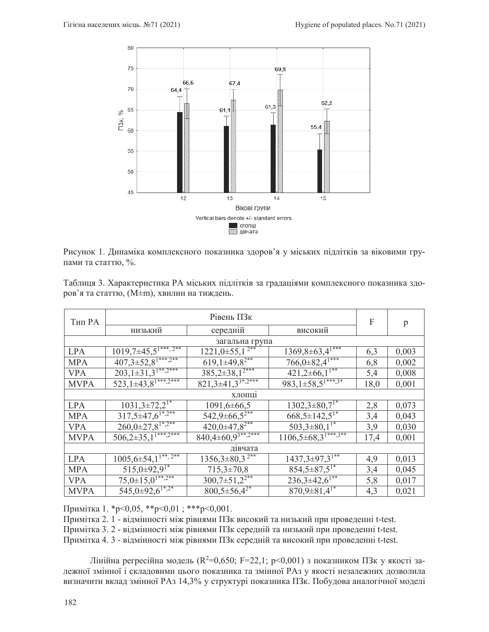

Рисунок 1. Динаміка комплексного показника здоров'я у міських підлітків за віковими групами та статтю, %.

| Тип РА      |                                              | $\mathbf F$                                               | p                                |      |       |  |  |  |
|-------------|----------------------------------------------|-----------------------------------------------------------|----------------------------------|------|-------|--|--|--|
|             | низький                                      | середній                                                  | високий                          |      |       |  |  |  |
|             |                                              |                                                           |                                  |      |       |  |  |  |
| <b>LPA</b>  | $1019,7\pm 45.5^{1***,\,2^{**}}$             | $1221,0\pm 55,1^{2**}$                                    | $1369,8\pm 63.4$ <sup>1***</sup> | 6,3  | 0,003 |  |  |  |
| <b>MPA</b>  | $407,3\pm52,8^{1***,2**}$                    | $619,1\pm 49,8^{2**}$                                     | $766,0=82.4$ <sup>1***</sup>     | 6,8  | 0,002 |  |  |  |
| <b>VPA</b>  | $203,1\pm31,3^{1**},2^{***}$                 | $385,2\pm38,1^{2***}$                                     | $421,2\pm 66,1$ <sup>1**</sup>   | 5,4  | 0,008 |  |  |  |
| <b>MVPA</b> | $52\overline{3,1\pm 43.8}^{1***,2***}$       | $821,3\pm41,3^{3*},2^{***}$                               | $983.1 \pm 58.5^{1***,3*}$       | 18,0 | 0,001 |  |  |  |
| хлопці      |                                              |                                                           |                                  |      |       |  |  |  |
| <b>LPA</b>  | $1031,3\pm 72,2^{1*}$                        | 1091,6±66,5                                               | $1302,3\pm80,71*$                | 2,8  | 0,073 |  |  |  |
| <b>MPA</b>  | $317,5\pm47,6^{1^*,2^{**}}$                  | $542,9\pm 66,5^{2**}$                                     | $668,5\pm142,5^{1*}$             | 3,4  | 0,043 |  |  |  |
| <b>VPA</b>  | $260,0\pm27,8^{1^*,2^{**}}$                  | $420,0\pm47,8^{2**}$                                      | $503,3\pm80,1$ <sup>1*</sup>     | 3,9  | 0,030 |  |  |  |
| <b>MVPA</b> | $506,2\pm35,1^{1***,2***}$                   | $840,4\pm 60,9^{3**,2***}$                                | $1106,5\pm 68,3^{1***,3**}$      | 17,4 | 0,001 |  |  |  |
| дівчата     |                                              |                                                           |                                  |      |       |  |  |  |
| <b>LPA</b>  | $1005,6 \pm 54,1^{\overline{1}^{**},2^{**}}$ | $1356,3\pm80.3$ <sup><math>\overline{2^{**}}</math></sup> | $1437,3\pm97,31***$              | 4,9  | 0,013 |  |  |  |
| <b>MPA</b>  | $515,0\pm92,9^{1*}$                          | 715,3±70,8                                                | $854,5\pm87,5^{1*}$              | 3,4  | 0,045 |  |  |  |
| <b>VPA</b>  | $75,0\pm15,0^{1**,2**}$                      | $300,7 \pm 51,2^{2**}$                                    | $236,3\pm42,6$ <sup>1**</sup>    | 5,8  | 0,017 |  |  |  |
| <b>MVPA</b> | $545,0\pm92,6^{1*,2*}$                       | $800,5 \pm 56,4^{2*}$                                     | $870,9\pm81,4$ <sup>1*</sup>     | 4,3  | 0,021 |  |  |  |

Таблиця 3. Характеристика РА міських підлітків за градаціями комплексного показника здоров'я та статтю, (M±m), хвилин на тиждень.

Примітка 1. \*p<0,05, \*\*p<0,01; \*\*\*p<0,001.

Примітка 2. 1 - відмінності між рівнями ПЗк високий та низький при проведенні t-test. Примітка 3. 2 - відмінності між рівнями ПЗк середній та низький при проведенні t-test. Примітка 4. 3 - відмінності між рівнями ПЗк середній та високий при проведенні t-test.

Лінійна регресійна модель (R<sup>2</sup>=0,650; F=22,1; p<0,001) з показником ПЗк у якості залежної змінної і складовими цього показника та змінної РАз у якості незалежних дозволила визначити вклад змінної РАз 14,3% у структурі показника ПЗк. Побудова аналогічної моделі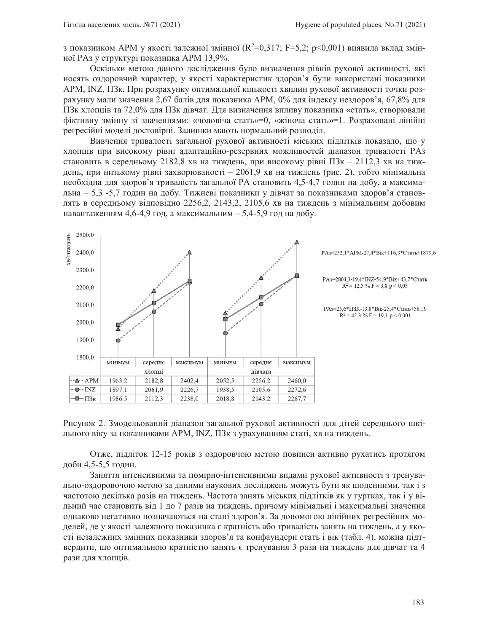з показником АРМ у якості залежної змінної (R<sup>2</sup>=0,317; F=5,2; p<0,001) виявила вклад змінної РАз у структурі показника АРМ 13,9%.

Оскільки метою даного дослідження було визначення рівнів рухової активності, які носять оздоровчий характер, у якості характеристик здоров'я були використані показники АРМ, INZ, ITЗк. При розрахунку оптимальної кількості хвилин рухової активності точки розрахунку мали значення 2,67 балів для показника АРМ, 0% для індексу нездоров'я, 67,8% для ПЗк хлопців та 72,0% для ПЗк дівчат. Для визначення впливу показника «стать», створювали фіктивну змінну зі значеннями: «чоловіча стать»=0, «жіноча стать»=1. Розраховані лінійні регресійні моделі достовірні. Залишки мають нормальний розподіл.

Вивчення тривалості загальної рухової активності міських підлітків показало, що у хлопців при високому рівні адаптаційно-резервних можливостей діапазон тривалості РАз становить в середньому 2182,8 хв на тиждень, при високому рівні ПЗк - 2112,3 хв на тиждень, при низькому рівні захворюваності – 2061,9 хв на тиждень (рис. 2), тобто мінімальна необхідна для здоров'я тривалість загальної РА становить 4,5-4,7 годин на добу, а максимальна – 5,3 -5,7 годин на добу. Тижневі показники у дівчат за показниками здоров'я становлять в середньому відповідно 2256,2, 2143,2, 2105,6 хв на тиждень з мінімальним добовим навантаженням 4,6-4,9 год, а максимальним - 5,4-5,9 год на добу.





Отже, підліток 12-15 років з оздоровчою метою повинен активно рухатись протягом доби 4,5-5,5 годин.

Заняття інтенсивними та помірно-інтенсивними видами рухової активності з тренувально-оздоровочою метою за даними наукових досліджень можуть бути як щоденними, так і з частотою декілька разів на тиждень. Частота занять міських підлітків як у гуртках, так і у вільний час становить від 1 до 7 разів на тиждень, причому мінімальні і максимальні значення однаково негативно позначаються на стані здоров'я. За допомогою лінійних регресійних моделей, де у якості залежного показника є кратність або тривалість занять на тиждень, а у якості незалежних змінних показники здоров'я та конфаундери стать і вік (табл. 4), можна підтвердити, що оптимальною кратністю занять є тренування 3 рази на тиждень для дівчат та 4 рази для хлопців.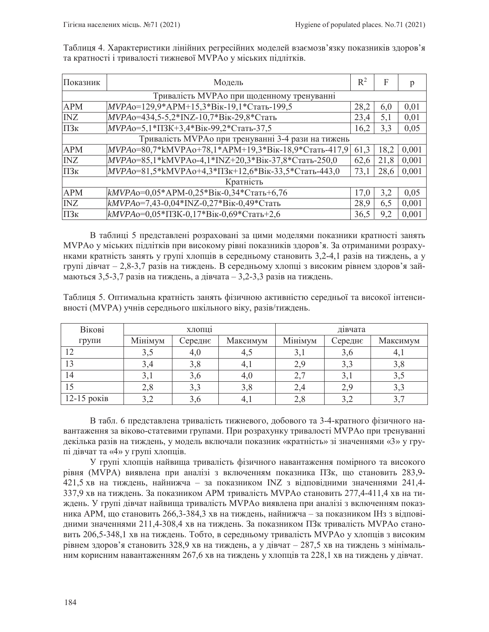| Показник                                                       | Модель                                               | $R^2$ | F    | p     |  |  |  |
|----------------------------------------------------------------|------------------------------------------------------|-------|------|-------|--|--|--|
| Тривалість MVPA <sub>o</sub> при щоденному тренуванні          |                                                      |       |      |       |  |  |  |
| <b>APM</b>                                                     | МVPAo=129,9*АРМ+15,3*Вік-19,1*Стать-199,5            | 28,2  | 6,0  | 0,01  |  |  |  |
| <b>INZ</b>                                                     | MVPAo=434,5-5,2*INZ-10,7*Вік-29,8*Стать              | 23,4  | 5,1  | 0,01  |  |  |  |
| ПЗк                                                            | МVPA0=5,1*ПЗК+3,4*Вік-99,2*Стать-37,5                | 16,2  | 3,3  | 0,05  |  |  |  |
| Тривалість МVPA <sub>o</sub> при тренуванні 3-4 рази на тижень |                                                      |       |      |       |  |  |  |
| <b>APM</b>                                                     | MVPAo=80,7*kMVPAo+78,1*APM+19,3*Bik-18,9*Crarь-417,9 | 61,3  | 18,2 | 0,001 |  |  |  |
| <b>INZ</b>                                                     | MVPAo=85,1*kMVPAo-4,1*INZ+20,3*Вік-37,8*Стать-250,0  | 62,6  | 21,8 | 0,001 |  |  |  |
| ПЗк                                                            | MVPAo=81,5*kMVPAo+4,3*IT3k+12,6*Bik-33,5*CTaTb-443,0 | 73,1  | 28,6 | 0,001 |  |  |  |
| Кратність                                                      |                                                      |       |      |       |  |  |  |
| <b>APM</b>                                                     | $kMVPAo=0.05*APM-0.25*Bik-0.34*Cratb+6.76$           | 17,0  | 3,2  | 0,05  |  |  |  |
| <b>INZ</b>                                                     | kMVPAo=7,43-0,04*INZ-0,27*Вік-0,49*Стать             | 28,9  | 6,5  | 0,001 |  |  |  |
| ПЗк                                                            | kMVPAo=0,05*ПЗК-0,17*Вік-0,69*Стать+2,6              | 36,5  | 9,2  | 0,001 |  |  |  |

Таблиця 4. Характеристики лінійних регресійних моделей взаємозв'язку показників здоров'я та кратності і тривалості тижневої МVPA<sub>o у міських</sub> підлітків.

В таблиці 5 представлені розраховані за цими моделями показники кратності занять MVPAo у міських підлітків при високому рівні показників здоров'я. За отриманими розрахунками кратність занять у групі хлопців в середньому становить 3,2-4,1 разів на тиждень, а у групі дівчат – 2,8-3,7 разів на тиждень. В середньому хлопці з високим рівнем здоров'я займаються 3,5-3,7 разів на тиждень, а дівчата – 3,2-3,3 разів на тиждень.

Таблиця 5. Оптимальна кратність занять фізичною активністю середньої та високої інтенсивності (MVPA) учнів середнього шкільного віку, разів/тиждень.

| Вікові      |         | хлопці  |          | дівчата |                      |          |  |
|-------------|---------|---------|----------|---------|----------------------|----------|--|
| групи       | Мінімум | Середнє | Максимум | Мінімум | $C$ ередн $\epsilon$ | Максимум |  |
|             | 3,5     | 4,V     | 4,5      | 3,1     | 3,6                  | −.⊥      |  |
| 13          |         | 3,8     | 4, 1     | 2,9     | 3,3                  | 3,8      |  |
| 14          |         | 3,0     | 4,0      | 2,      | 3,1                  | 3.J      |  |
|             | 2,8     | 3,3     | 3,8      | 2,4     | 2,9                  | 3,3      |  |
| 12-15 років | 3,2     |         | 4,1      | 2,8     | 3,2                  | 3,       |  |

В табл. 6 представлена тривалість тижневого, добового та 3-4-кратного фізичного навантаження за віково-статевими групами. При розрахунку тривалості МVPA при тренуванні декілька разів на тиждень, у модель включали показник «кратність» зі значеннями «З» у групі дівчат та «4» у групі хлопців.

У групі хлопців найвища тривалість фізичного навантаження помірного та високого рівня (MVPA) виявлена при аналізі з включенням показника ПЗк, що становить 283,9-421,5 хв на тиждень, найнижча – за показником INZ з відповідними значеннями 241,4-337,9 хв на тиждень. За показником APM тривалість MVPAo становить 277,4-411,4 хв на тиждень. У групі дівчат найвища тривалість МVPA<sub>O</sub> виявлена при аналізі з включенням показника АРМ, що становить 266,3-384,3 хв на тиждень, найнижча – за показником IHз з відповідними значеннями 211,4-308,4 хв на тиждень. За показником ПЗк тривалість МVPAo становить 206,5-348,1 хв на тиждень. Тобто, в середньому тривалість МVPAo у хлопців з високим рівнем здоров'я становить 328,9 хв на тиждень, а у дівчат - 287,5 хв на тиждень з мінімальним корисним навантаженням 267,6 хв на тиждень у хлопців та 228,1 хв на тиждень у дівчат.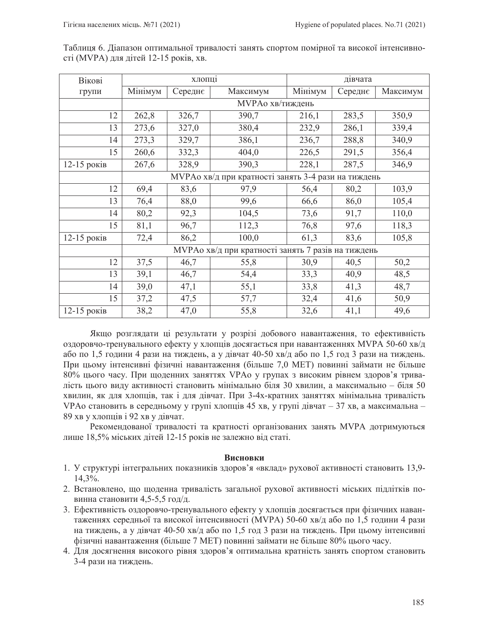| Вікові      | хлопці                                              |         |          | дівчата |         |          |  |  |
|-------------|-----------------------------------------------------|---------|----------|---------|---------|----------|--|--|
| групи       | Мінімум                                             | Середнє | Максимум | Мінімум | Середнє | Максимум |  |  |
|             | <b>МVPA</b> хв/тиждень                              |         |          |         |         |          |  |  |
| 12          | 262,8                                               | 326,7   | 390,7    | 216,1   | 283,5   | 350,9    |  |  |
| 13          | 273,6                                               | 327,0   | 380,4    | 232,9   | 286,1   | 339,4    |  |  |
| 14          | 273,3                                               | 329,7   | 386,1    | 236,7   | 288,8   | 340,9    |  |  |
| 15          | 260,6                                               | 332,3   | 404,0    | 226,5   | 291,5   | 356,4    |  |  |
| 12-15 років | 267,6                                               | 328,9   | 390,3    | 228,1   | 287,5   | 346,9    |  |  |
|             | МVРА охв/д при кратності занять 3-4 рази на тиждень |         |          |         |         |          |  |  |
| 12          | 69,4                                                | 83,6    | 97,9     | 56,4    | 80,2    | 103,9    |  |  |
| 13          | 76,4                                                | 88,0    | 99,6     | 66,6    | 86,0    | 105,4    |  |  |
| 14          | 80,2                                                | 92,3    | 104,5    | 73,6    | 91,7    | 110,0    |  |  |
| 15          | 81,1                                                | 96,7    | 112,3    | 76,8    | 97,6    | 118,3    |  |  |
| 12-15 років | 72,4                                                | 86,2    | 100,0    | 61,3    | 83,6    | 105,8    |  |  |
|             | МУРАо хв/д при кратності занять 7 разів на тиждень  |         |          |         |         |          |  |  |
| 12          | 37,5                                                | 46,7    | 55,8     | 30,9    | 40,5    | 50,2     |  |  |
| 13          | 39,1                                                | 46,7    | 54,4     | 33,3    | 40,9    | 48,5     |  |  |
| 14          | 39,0                                                | 47,1    | 55,1     | 33,8    | 41,3    | 48,7     |  |  |
| 15          | 37,2                                                | 47,5    | 57,7     | 32,4    | 41,6    | 50,9     |  |  |
| 12-15 років | 38,2                                                | 47,0    | 55,8     | 32,6    | 41,1    | 49,6     |  |  |

Таблиця 6. Діапазон оптимальної тривалості занять спортом помірної та високої інтенсивності (MVPA) для дітей 12-15 років, хв.

Якщо розглядати ці результати у розрізі добового навантаження, то ефективність оздоровчо-тренувального ефекту у хлопців досягається при навантаженнях MVPA 50-60 хв/д або по 1,5 години 4 рази на тиждень, а у дівчат 40-50 хв/д або по 1,5 год 3 рази на тиждень. При цьому інтенсивні фізичні навантаження (більше 7,0 МЕТ) повинні займати не більше 80% цього часу. При щоденних заняттях VPAo у групах з високим рівнем здоров'я тривалість цього виду активності становить мінімально біля 30 хвилин, а максимально – біля 50 хвилин, як для хлопців, так і для дівчат. При 3-4х-кратних заняттях мінімальна тривалість VPAo становить в середньому у групі хлопців 45 хв, у групі дівчат – 37 хв, а максимальна – 89 хв у хлопців і 92 хв у дівчат.

Рекомендованої тривалості та кратності організованих занять МVPA дотримуються лише 18,5% міських дітей 12-15 років не залежно від статі.

#### **Висновки**

- 1. У структурі інтегральних показників здоров'я «вклад» рухової активності становить 13,9-14,3%.
- 2. Встановлено, що щоденна тривалість загальної рухової активності міських підлітків повинна становити 4,5-5,5 год/д.
- 3. Ефективність оздоровчо-тренувального ефекту у хлопців досягається при фізичних навантаженнях середньої та високої інтенсивності (МVPA) 50-60 хв/д або по 1,5 години 4 рази на тиждень, а у дівчат 40-50 хв/д або по 1,5 год 3 рази на тиждень. При цьому інтенсивні фізичні навантаження (більше 7 МЕТ) повинні займати не більше 80% цього часу.
- 4. Для досягнення високого рівня здоров'я оптимальна кратність занять спортом становить 3-4 рази на тиждень.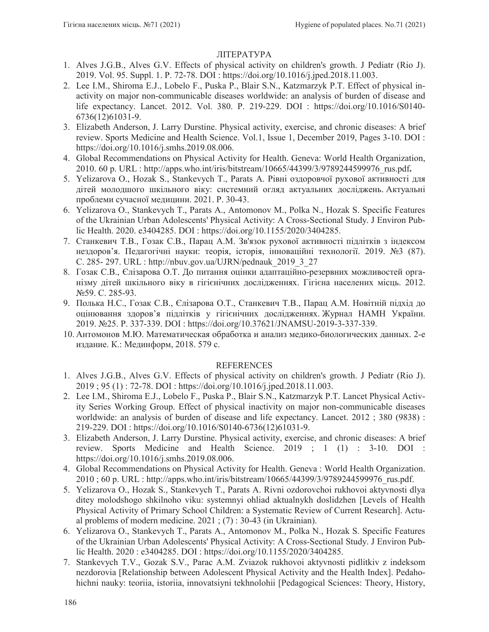## ЛІТЕРАТУРА

- 1. Alves J.G.B., Alves G.V. Effects of physical activity on children's growth. J Pediatr (Rio J). 2019. Vol. 95. Suppl. 1. P. 72-78. DOI: https://doi.org/10.1016/j.jped.2018.11.003.
- 2. Lee I.M., Shiroma E.J., Lobelo F., Puska P., Blair S.N., Katzmarzyk P.T. Effect of physical inactivity on major non-communicable diseases worldwide: an analysis of burden of disease and life expectancy. Lancet. 2012. Vol. 380. P. 219-229. DOI : https://doi.org/10.1016/S0140- 6736(12)61031-9.
- 3. Elizabeth Anderson, J. Larry Durstine. Physical activity, exercise, and chronic diseases: A brief review. Sports Medicine and Health Science. Vol.1, Issue 1, December 2019, Pages 3-10. DOI : https://doi.org/10.1016/j.smhs.2019.08.006.
- 4. Global Recommendations on Physical Activity for Health. Geneva: World Health Organization, 2010. 60 p. URL : http://apps.who.int/iris/bitstream/10665/44399/3/9789244599976\_rus.pdf**.**
- 5. Yelizarova O., Hozak S., Stankevych T., Parats A. Рівні оздоровчої рухової активності для дітей молодшого шкільного віку: системний огляд актуальних досліджень. Актуальні проблеми сучасної медицини. 2021. Р. 30-43.
- 6. Yelizarova O., Stankevych T., Parats A., Antomonov M., Polka N., Hozak S. Specific Features of the Ukrainian Urban Adolescents' Physical Activity: A Cross-Sectional Study. J Environ Public Health. 2020. e3404285. DOI : https://doi.org/10.1155/2020/3404285.
- 7. Станкевич Т.В., Гозак С.В., Парац А.М. Зв'язок рухової активності підлітків з індексом нездоров'я. Педагогічні науки: теорія, історія, інноваційні технології. 2019. №3 (87). ɋ 285- 297. URL : http://nbuv.gov.ua/UJRN/pednauk\_2019\_3\_27
- 8. Гозак С.В., Єлізарова О.Т. До питання оцінки адаптаційно-резервних можливостей організму дітей шкільного віку в гігієнічних дослідженнях. Гігієна населених місць. 2012. No 59. C. 285-93.
- 9. Полька Н.С., Гозак С.В., Єлізарова О.Т., Станкевич Т.В., Парац А.М. Новітній підхід до оцінювання здоров'я підлітків у гігієнічних дослідженнях. Журнал НАМН України. 2019. ʋ25. P. 337-339. DOI : https://doi.org/10.37621/JNAMSU-2019-3-337-339.
- 10. Антомонов М.Ю. Математическая обработка и анализ медико-биологических данных. 2-е издание. К.: Мединформ, 2018. 579 с.

## REFERENCES

- 1. Alves J.G.B., Alves G.V. Effects of physical activity on children's growth. J Pediatr (Rio J). 2019 ; 95 (1) : 72-78. DOI : https://doi.org/10.1016/j.jped.2018.11.003.
- 2. Lee I.M., Shiroma E.J., Lobelo F., Puska P., Blair S.N., Katzmarzyk P.T. Lancet Physical Activity Series Working Group. Effect of physical inactivity on major non-communicable diseases worldwide: an analysis of burden of disease and life expectancy. Lancet. 2012 ; 380 (9838) : 219-229. DOI : https://doi.org/10.1016/S0140-6736(12)61031-9.
- 3. Elizabeth Anderson, J. Larry Durstine. Physical activity, exercise, and chronic diseases: A brief review. Sports Medicine and Health Science. 2019 ; 1 (1) : 3-10. DOI : https://doi.org/10.1016/j.smhs.2019.08.006.
- 4. Global Recommendations on Physical Activity for Health. Geneva : World Health Organization. 2010 ; 60 p. URL : http://apps.who.int/iris/bitstream/10665/44399/3/9789244599976\_rus.pdf.
- 5. Yelizarova O., Hozak S., Stankevych T., Parats A. Rivni ozdorovchoi rukhovoi aktyvnosti dlya ditey molodshogo shkilnoho viku: systemnyi ohliad aktualnykh doslidzhen [Levels of Health Physical Activity of Primary School Children: a Systematic Review of Current Research]. Actual problems of modern medicine. 2021 ; (7) : 30-43 (in Ukrainian).
- 6. Yelizarova O., Stankevych T., Parats A., Antomonov M., Polka N., Hozak S. Specific Features of the Ukrainian Urban Adolescents' Physical Activity: A Cross-Sectional Study. J Environ Public Health. 2020 : e3404285. DOI : https://doi.org/10.1155/2020/3404285.
- 7. Stankevych T.V., Gozak S.V., Parac A.M. Zviazok rukhovoi aktyvnosti pidlitkiv z indeksom nezdorovia [Relationship between Adolescent Physical Activity and the Health Index]. Pedahohichni nauky: teoriia, istoriia, innovatsiyni tekhnolohii [Pedagogical Sciences: Theory, History,